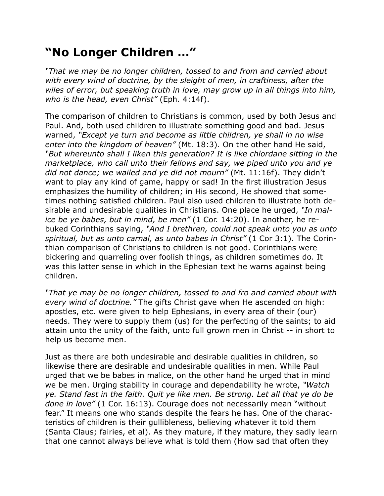## **"No Longer Children …"**

*"That we may be no longer children, tossed to and from and carried about with every wind of doctrine, by the sleight of men, in craftiness, after the wiles of error, but speaking truth in love, may grow up in all things into him, who is the head, even Christ"* (Eph. 4:14f).

The comparison of children to Christians is common, used by both Jesus and Paul. And, both used children to illustrate something good and bad. Jesus warned, *"Except ye turn and become as little children, ye shall in no wise enter into the kingdom of heaven"* (Mt. 18:3). On the other hand He said, *"But whereunto shall I liken this generation? It is like chlordane sitting in the marketplace, who call unto their fellows and say, we piped unto you and ye did not dance; we wailed and ye did not mourn"* (Mt. 11:16f). They didn't want to play any kind of game, happy or sad! In the first illustration Jesus emphasizes the humility of children; in His second, He showed that sometimes nothing satisfied children. Paul also used children to illustrate both desirable and undesirable qualities in Christians. One place he urged, *"In malice be ye babes, but in mind, be men"* (1 Cor. 14:20). In another, he rebuked Corinthians saying, *"And I brethren, could not speak unto you as unto spiritual, but as unto carnal, as unto babes in Christ"* (1 Cor 3:1). The Corinthian comparison of Christians to children is not good. Corinthians were bickering and quarreling over foolish things, as children sometimes do. It was this latter sense in which in the Ephesian text he warns against being children.

*"That ye may be no longer children, tossed to and fro and carried about with every wind of doctrine."* The gifts Christ gave when He ascended on high: apostles, etc. were given to help Ephesians, in every area of their (our) needs. They were to supply them (us) for the perfecting of the saints; to aid attain unto the unity of the faith, unto full grown men in Christ -- in short to help us become men.

Just as there are both undesirable and desirable qualities in children, so likewise there are desirable and undesirable qualities in men. While Paul urged that we be babes in malice, on the other hand he urged that in mind we be men. Urging stability in courage and dependability he wrote, *"Watch ye. Stand fast in the faith. Quit ye like men. Be strong. Let all that ye do be done in love"* (1 Cor. 16:13). Courage does not necessarily mean "without fear." It means one who stands despite the fears he has. One of the characteristics of children is their gullibleness, believing whatever it told them (Santa Claus; fairies, et al). As they mature, if they mature, they sadly learn that one cannot always believe what is told them (How sad that often they